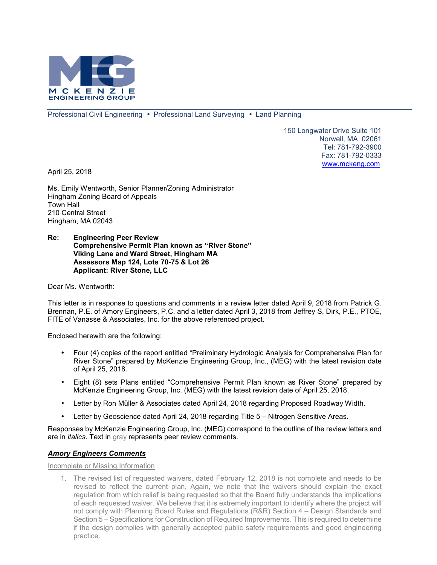

Professional Civil Engineering • Professional Land Surveying • Land Planning

150 Longwater Drive Suite 101 Norwell, MA 02061 Tel: 781-792-3900 Fax: 781-792-0333 www.mckeng.com

April 25, 2018

Ms. Emily Wentworth, Senior Planner/Zoning Administrator Hingham Zoning Board of Appeals Town Hall 210 Central Street Hingham, MA 02043

#### **Re: Engineering Peer Review Comprehensive Permit Plan known as "River Stone" Viking Lane and Ward Street, Hingham MA Assessors Map 124, Lots 70-75 & Lot 26 Applicant: River Stone, LLC**

Dear Ms. Wentworth:

This letter is in response to questions and comments in a review letter dated April 9, 2018 from Patrick G. Brennan, P.E. of Amory Engineers, P.C. and a letter dated April 3, 2018 from Jeffrey S, Dirk, P.E., PTOE, FITE of Vanasse & Associates, Inc. for the above referenced project.

Enclosed herewith are the following:

- Four (4) copies of the report entitled "Preliminary Hydrologic Analysis for Comprehensive Plan for River Stone" prepared by McKenzie Engineering Group, Inc., (MEG) with the latest revision date of April 25, 2018.
- Eight (8) sets Plans entitled "Comprehensive Permit Plan known as River Stone" prepared by McKenzie Engineering Group, Inc. (MEG) with the latest revision date of April 25, 2018.
- Letter by Ron Müller & Associates dated April 24, 2018 regarding Proposed Roadway Width.
- Letter by Geoscience dated April 24, 2018 regarding Title 5 Nitrogen Sensitive Areas.

Responses by McKenzie Engineering Group, Inc. (MEG) correspond to the outline of the review letters and are in *italics*. Text in gray represents peer review comments.

### *Amory Engineers Comments*

Incomplete or Missing Information

1. The revised list of requested waivers, dated February 12, 2018 is not complete and needs to be revised to reflect the current plan. Again, we note that the waivers should explain the exact regulation from which relief is being requested so that the Board fully understands the implications of each requested waiver. We believe that it is extremely important to identify where the project will not comply with Planning Board Rules and Regulations (R&R) Section 4 – Design Standards and Section 5 – Specifications for Construction of Required Improvements. This is required to determine if the design complies with generally accepted public safety requirements and good engineering practice.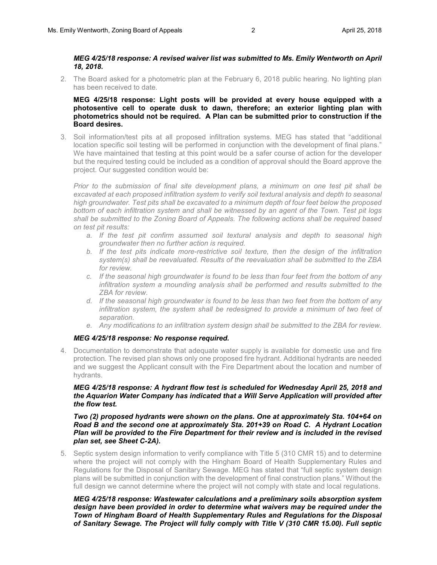#### *MEG 4/25/18 response: A revised waiver list was submitted to Ms. Emily Wentworth on April 18, 2018.*

2. The Board asked for a photometric plan at the February 6, 2018 public hearing. No lighting plan has been received to date.

**MEG 4/25/18 response: Light posts will be provided at every house equipped with a photosentive cell to operate dusk to dawn, therefore; an exterior lighting plan with photometrics should not be required. A Plan can be submitted prior to construction if the Board desires.** 

3. Soil information/test pits at all proposed infiltration systems. MEG has stated that "additional location specific soil testing will be performed in conjunction with the development of final plans." We have maintained that testing at this point would be a safer course of action for the developer but the required testing could be included as a condition of approval should the Board approve the project. Our suggested condition would be:

*Prior to the submission of final site development plans, a minimum on one test pit shall be excavated at each proposed infiltration system to verify soil textural analysis and depth to seasonal high groundwater. Test pits shall be excavated to a minimum depth of four feet below the proposed bottom of each infiltration system and shall be witnessed by an agent of the Town. Test pit logs shall be submitted to the Zoning Board of Appeals. The following actions shall be required based on test pit results:* 

- *a. If the test pit confirm assumed soil textural analysis and depth to seasonal high groundwater then no further action is required.*
- *b. If the test pits indicate more-restrictive soil texture, then the design of the infiltration system(s) shall be reevaluated. Results of the reevaluation shall be submitted to the ZBA for review.*
- *c. If the seasonal high groundwater is found to be less than four feet from the bottom of any infiltration system a mounding analysis shall be performed and results submitted to the ZBA for review.*
- *d. If the seasonal high groundwater is found to be less than two feet from the bottom of any infiltration system, the system shall be redesigned to provide a minimum of two feet of separation.*
- *e. Any modifications to an infiltration system design shall be submitted to the ZBA for review.*

### *MEG 4/25/18 response: No response required.*

4. Documentation to demonstrate that adequate water supply is available for domestic use and fire protection. The revised plan shows only one proposed fire hydrant. Additional hydrants are needed and we suggest the Applicant consult with the Fire Department about the location and number of hydrants.

## *MEG 4/25/18 response: A hydrant flow test is scheduled for Wednesday April 25, 2018 and the Aquarion Water Company has indicated that a Will Serve Application will provided after the flow test.*

### *Two (2) proposed hydrants were shown on the plans. One at approximately Sta. 104+64 on Road B and the second one at approximately Sta. 201+39 on Road C. A Hydrant Location Plan will be provided to the Fire Department for their review and is included in the revised plan set, see Sheet C-2A).*

5. Septic system design information to verify compliance with Title 5 (310 CMR 15) and to determine where the project will not comply with the Hingham Board of Health Supplementary Rules and Regulations for the Disposal of Sanitary Sewage. MEG has stated that "full septic system design plans will be submitted in conjunction with the development of final construction plans." Without the full design we cannot determine where the project will not comply with state and local regulations.

### *MEG 4/25/18 response: Wastewater calculations and a preliminary soils absorption system design have been provided in order to determine what waivers may be required under the Town of Hingham Board of Health Supplementary Rules and Regulations for the Disposal of Sanitary Sewage. The Project will fully comply with Title V (310 CMR 15.00). Full septic*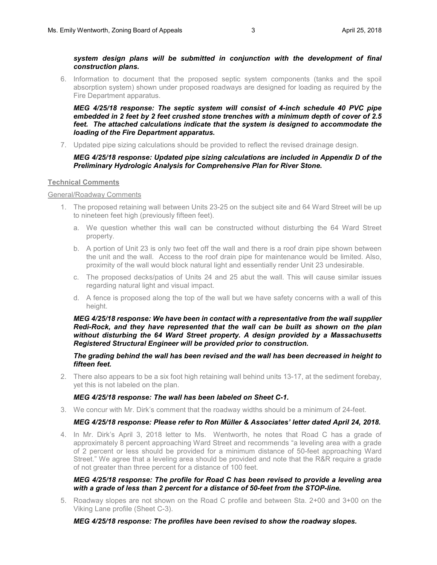*system design plans will be submitted in conjunction with the development of final construction plans.* 

6. Information to document that the proposed septic system components (tanks and the spoil absorption system) shown under proposed roadways are designed for loading as required by the Fire Department apparatus.

*MEG 4/25/18 response: The septic system will consist of 4-inch schedule 40 PVC pipe embedded in 2 feet by 2 feet crushed stone trenches with a minimum depth of cover of 2.5 feet. The attached calculations indicate that the system is designed to accommodate the loading of the Fire Department apparatus.* 

7. Updated pipe sizing calculations should be provided to reflect the revised drainage design.

## *MEG 4/25/18 response: Updated pipe sizing calculations are included in Appendix D of the Preliminary Hydrologic Analysis for Comprehensive Plan for River Stone.*

### **Technical Comments**

### General/Roadway Comments

- 1. The proposed retaining wall between Units 23-25 on the subject site and 64 Ward Street will be up to nineteen feet high (previously fifteen feet).
	- a. We question whether this wall can be constructed without disturbing the 64 Ward Street property.
	- b. A portion of Unit 23 is only two feet off the wall and there is a roof drain pipe shown between the unit and the wall. Access to the roof drain pipe for maintenance would be limited. Also, proximity of the wall would block natural light and essentially render Unit 23 undesirable.
	- c. The proposed decks/patios of Units 24 and 25 abut the wall. This will cause similar issues regarding natural light and visual impact.
	- d. A fence is proposed along the top of the wall but we have safety concerns with a wall of this height.

*MEG 4/25/18 response: We have been in contact with a representative from the wall supplier Redi-Rock, and they have represented that the wall can be built as shown on the plan without disturbing the 64 Ward Street property. A design provided by a Massachusetts Registered Structural Engineer will be provided prior to construction.* 

*The grading behind the wall has been revised and the wall has been decreased in height to fifteen feet.* 

2. There also appears to be a six foot high retaining wall behind units 13-17, at the sediment forebay, yet this is not labeled on the plan.

### *MEG 4/25/18 response: The wall has been labeled on Sheet C-1.*

3. We concur with Mr. Dirk's comment that the roadway widths should be a minimum of 24-feet.

### *MEG 4/25/18 response: Please refer to Ron Müller & Associates' letter dated April 24, 2018.*

4. In Mr. Dirk's April 3, 2018 letter to Ms. Wentworth, he notes that Road C has a grade of approximately 8 percent approaching Ward Street and recommends "a leveling area with a grade of 2 percent or less should be provided for a minimum distance of 50-feet approaching Ward Street." We agree that a leveling area should be provided and note that the R&R require a grade of not greater than three percent for a distance of 100 feet.

### *MEG 4/25/18 response: The profile for Road C has been revised to provide a leveling area with a grade of less than 2 percent for a distance of 50-feet from the STOP-line.*

5. Roadway slopes are not shown on the Road C profile and between Sta. 2+00 and 3+00 on the Viking Lane profile (Sheet C-3).

*MEG 4/25/18 response: The profiles have been revised to show the roadway slopes.*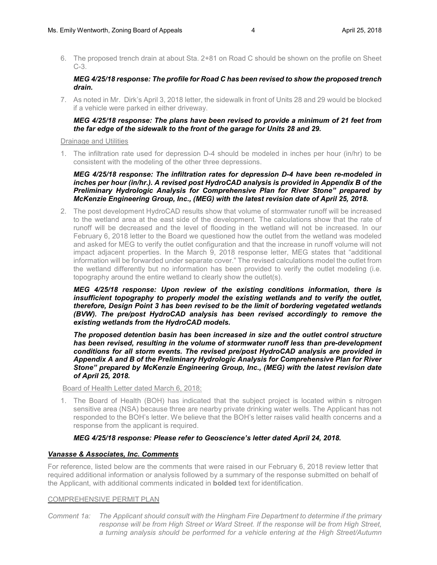6. The proposed trench drain at about Sta. 2+81 on Road C should be shown on the profile on Sheet  $C-3$ 

## *MEG 4/25/18 response: The profile for Road C has been revised to show the proposed trench drain.*

7. As noted in Mr. Dirk's April 3, 2018 letter, the sidewalk in front of Units 28 and 29 would be blocked if a vehicle were parked in either driveway.

### *MEG 4/25/18 response: The plans have been revised to provide a minimum of 21 feet from the far edge of the sidewalk to the front of the garage for Units 28 and 29.*

#### Drainage and Utilities

1. The infiltration rate used for depression D-4 should be modeled in inches per hour (in/hr) to be consistent with the modeling of the other three depressions.

## *MEG 4/25/18 response: The infiltration rates for depression D-4 have been re-modeled in inches per hour (in/hr.). A revised post HydroCAD analysis is provided in Appendix B of the Preliminary Hydrologic Analysis for Comprehensive Plan for River Stone" prepared by McKenzie Engineering Group, Inc., (MEG) with the latest revision date of April 25, 2018.*

2. The post development HydroCAD results show that volume of stormwater runoff will be increased to the wetland area at the east side of the development. The calculations show that the rate of runoff will be decreased and the level of flooding in the wetland will not be increased. In our February 6, 2018 letter to the Board we questioned how the outlet from the wetland was modeled and asked for MEG to verify the outlet configuration and that the increase in runoff volume will not impact adjacent properties. In the March 9, 2018 response letter, MEG states that "additional information will be forwarded under separate cover." The revised calculations model the outlet from the wetland differently but no information has been provided to verify the outlet modeling (i.e. topography around the entire wetland to clearly show the outlet(s).

*MEG 4/25/18 response: Upon review of the existing conditions information, there is insufficient topography to properly model the existing wetlands and to verify the outlet, therefore, Design Point 3 has been revised to be the limit of bordering vegetated wetlands (BVW). The pre/post HydroCAD analysis has been revised accordingly to remove the existing wetlands from the HydroCAD models.* 

*The proposed detention basin has been increased in size and the outlet control structure has been revised, resulting in the volume of stormwater runoff less than pre-development conditions for all storm events. The revised pre/post HydroCAD analysis are provided in Appendix A and B of the Preliminary Hydrologic Analysis for Comprehensive Plan for River Stone" prepared by McKenzie Engineering Group, Inc., (MEG) with the latest revision date of April 25, 2018.* 

Board of Health Letter dated March 6, 2018:

1. The Board of Health (BOH) has indicated that the subject project is located within s nitrogen sensitive area (NSA) because three are nearby private drinking water wells. The Applicant has not responded to the BOH's letter. We believe that the BOH's letter raises valid health concerns and a response from the applicant is required.

# *MEG 4/25/18 response: Please refer to Geoscience's letter dated April 24, 2018.*

## *Vanasse & Associates, Inc. Comments*

For reference, listed below are the comments that were raised in our February 6, 2018 review letter that required additional information or analysis followed by a summary of the response submitted on behalf of the Applicant, with additional comments indicated in **bolded** text for identification.

### COMPREHENSIVE PERMIT PLAN

*Comment 1a: The Applicant should consult with the Hingham Fire Department to determine if the primary* response will be from High Street or Ward Street. If the response will be from High Street, *a turning analysis should be performed for a vehicle entering at the High Street/Autumn*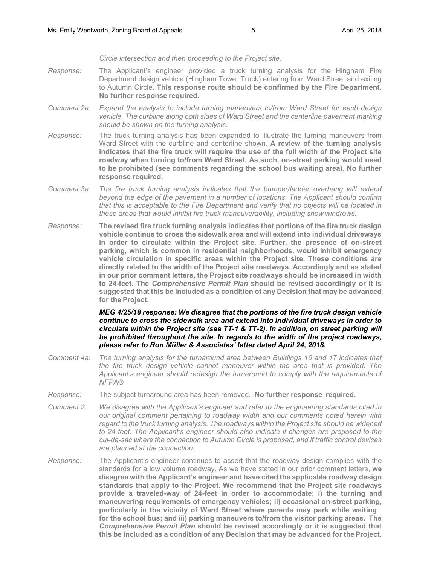*Circle intersection and then proceeding to the Project site.*

- *Response:* The Applicant's engineer provided a truck turning analysis for the Hingham Fire Department design vehicle (Hingham Tower Truck) entering from Ward Street and exiting to Autumn Circle. **This response route should be confirmed by the Fire Department. No further response required.**
- *Comment 2a: Expand the analysis to include turning maneuvers to/from Ward Street for each design vehicle. The curbline along both sides of Ward Street and the centerline pavement marking should be shown on the turning analysis.*
- *Response:* The truck turning analysis has been expanded to illustrate the turning maneuvers from Ward Street with the curbline and centerline shown. **A review of the turning analysis indicates that the fire truck will require the use of the full width of the Project site roadway when turning to/from Ward Street. As such, on-street parking would need to be prohibited (see comments regarding the school bus waiting area). No further response required.**
- *Comment 3a: The fire truck turning analysis indicates that the bumper/ladder overhang will extend beyond the edge of the pavement in a number of locations. The Applicant should confirm that this is acceptable to the Fire Department and verify that no objects will be located in these areas that would inhibit fire truck maneuverability, including snow windrows.*
- *Response:* **The revised fire truck turning analysis indicates that portions of the fire truck design vehicle continue to cross the sidewalk area and will extend into individual driveways in order to circulate within the Project site. Further, the presence of on-street parking, which is common in residential neighborhoods, would inhibit emergency vehicle circulation in specific areas within the Project site. These conditions are directly related to the width of the Project site roadways. Accordingly and as stated in our prior comment letters, the Project site roadways should be increased in width to 24-feet. The** *Comprehensive Permit Plan* **should be revised accordingly or it is suggested that this be included as a condition of any Decision that may be advanced for the Project.**

*MEG 4/25/18 response: We disagree that the portions of the fire truck design vehicle continue to cross the sidewalk area and extend into individual driveways in order to circulate within the Project site (see TT-1 & TT-2). In addition, on street parking will be prohibited throughout the site. In regards to the width of the project roadways, please refer to Ron Müller & Associates' letter dated April 24, 2018.* 

- *Comment 4a: The turning analysis for the turnaround area between Buildings 16 and 17 indicates that the fire truck design vehicle cannot maneuver within the area that is provided. The Applicant's engineer should redesign the turnaround to comply with the requirements of NFPA®*
- *Response:* The subject turnaround area has been removed. **No further response required.**
- *Comment 2: We disagree with the Applicant's engineer and refer to the engineering standards cited in our original comment pertaining to roadway width and our comments noted herein with regard to the truck turning analysis. The roadways within the Project site should be widened to 24-feet. The Applicant's engineer should also indicate if changes are proposed to the cul-de-sac where the connection to Autumn Circle is proposed, and if traffic control devices are planned at the connection.*
- *Response:* The Applicant's engineer continues to assert that the roadway design complies with the standards for a low volume roadway. As we have stated in our prior comment letters, **we disagree with the Applicant's engineer and have cited the applicable roadway design standards that apply to the Project. We recommend that the Project site roadways provide a traveled-way of 24-feet in order to accommodate: i) the turning and maneuvering requirements of emergency vehicles; ii) occasional on-street parking, particularly in the vicinity of Ward Street where parents may park while waiting for the school bus; and iii) parking maneuvers to/from the visitor parking areas. The**  *Comprehensive Permit Plan* **should be revised accordingly or it is suggested that this be included as a condition of any Decision that may be advanced for the Project.**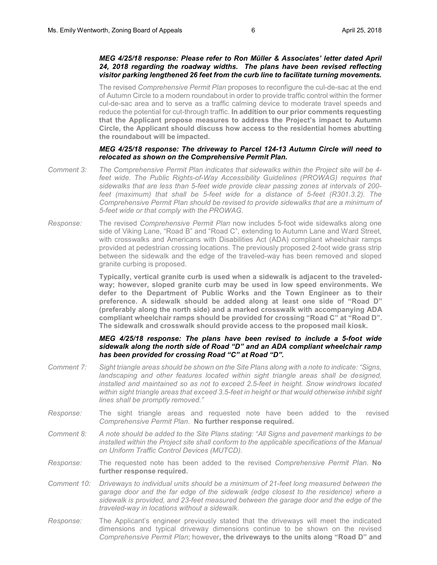### *MEG 4/25/18 response: Please refer to Ron Müller & Associates' letter dated April 24, 2018 regarding the roadway widths. The plans have been revised reflecting visitor parking lengthened 26 feet from the curb line to facilitate turning movements.*

The revised *Comprehensive Permit Plan* proposes to reconfigure the cul-de-sac at the end of Autumn Circle to a modern roundabout in order to provide traffic control within the former cul-de-sac area and to serve as a traffic calming device to moderate travel speeds and reduce the potential for cut-through traffic. **In addition to our prior comments requesting that the Applicant propose measures to address the Project's impact to Autumn Circle, the Applicant should discuss how access to the residential homes abutting the roundabout will be impacted.** 

#### *MEG 4/25/18 response: The driveway to Parcel 124-13 Autumn Circle will need to relocated as shown on the Comprehensive Permit Plan.*

- *Comment 3: The Comprehensive Permit Plan indicates that sidewalks within the Project site will be 4* feet wide. The Public Rights-of-Way Accessibility Guidelines (PROWAG) requires that *sidewalks that are less than 5-feet wide provide clear passing zones at intervals of 200 feet (maximum) that shall be 5-feet wide for a distance of 5-feet (R301.3.2). The Comprehensive Permit Plan should be revised to provide sidewalks that are a minimum of 5-feet wide or that comply with the PROWAG.*
- *Response:* The revised *Comprehensive Permit Plan* now includes 5-foot wide sidewalks along one side of Viking Lane, "Road B" and "Road C", extending to Autumn Lane and Ward Street, with crosswalks and Americans with Disabilities Act (ADA) compliant wheelchair ramps provided at pedestrian crossing locations. The previously proposed 2-foot wide grass strip between the sidewalk and the edge of the traveled-way has been removed and sloped granite curbing is proposed.

**Typically, vertical granite curb is used when a sidewalk is adjacent to the traveledway; however, sloped granite curb may be used in low speed environments. We defer to the Department of Public Works and the Town Engineer as to their preference. A sidewalk should be added along at least one side of "Road D" (preferably along the north side) and a marked crosswalk with accompanying ADA compliant wheelchair ramps should be provided for crossing "Road C" at "Road D". The sidewalk and crosswalk should provide access to the proposed mail kiosk.**

#### *MEG 4/25/18 response: The plans have been revised to include a 5-foot wide sidewalk along the north side of Road "D" and an ADA compliant wheelchair ramp has been provided for crossing Road "C" at Road "D".*

- *Comment 7: Sight triangle areas should be shown on the Site Plans along with a note to indicate: "Signs,*  landscaping and other features located within sight triangle areas shall be designed, *installed and maintained so as not to exceed 2.5-feet in height. Snow windrows located within sight triangle areas that exceed 3.5-feet in height or that would otherwise inhibit sight lines shall be promptly removed."*
- *Response:* The sight triangle areas and requested note have been added to the revised *Comprehensive Permit Plan*. **No further response required.**
- *Comment 8: A note should be added to the Site Plans stating: "All Signs and pavement markings to be installed within the Project site shall conform to the applicable specifications of the Manual on Uniform Traffic Control Devices (MUTCD).*
- *Response:* The requested note has been added to the revised *Comprehensive Permit Plan*. **No further response required.**
- *Comment 10: Driveways to individual units should be a minimum of 21-feet long measured between the garage door and the far edge of the sidewalk (edge closest to the residence) where a sidewalk is provided, and 23-feet measured between the garage door and the edge of the traveled-way in locations without a sidewalk.*
- *Response:* The Applicant's engineer previously stated that the driveways will meet the indicated dimensions and typical driveway dimensions continue to be shown on the revised *Comprehensive Permit Plan*; however**, the driveways to the units along "Road D" and**